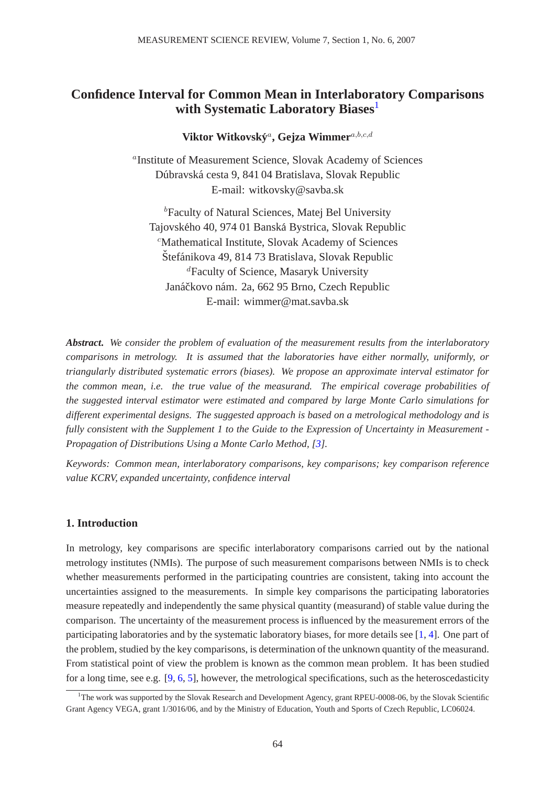# **Confidence Interval for Common Mean in Interlaboratory Comparisons with Systematic Laboratory Biases**[1](#page-0-0)

Viktor Witkovský<sup>a</sup>, Gejza Wimmer<sup>a,b,c,d</sup>

a Institute of Measurement Science, Slovak Academy of Sciences Dúbravská cesta 9, 841 04 Bratislava, Slovak Republic E-mail: witkovsky@savba.sk

<sup>b</sup>Faculty of Natural Sciences, Matej Bel University Tajovského 40, 974 01 Banská Bystrica, Slovak Republic <sup>c</sup>Mathematical Institute, Slovak Academy of Sciences Štefánikova 49, 814 73 Bratislava, Slovak Republic <sup>d</sup>Faculty of Science, Masaryk University Janáčkovo nám. 2a, 662 95 Brno, Czech Republic E-mail: wimmer@mat.savba.sk

*Abstract***.** *We consider the problem of evaluation of the measurement results from the interlaboratory comparisons in metrology. It is assumed that the laboratories have either normally, uniformly, or triangularly distributed systematic errors (biases). We propose an approximate interval estimator for the common mean, i.e. the true value of the measurand. The empirical coverage probabilities of the suggested interval estimator were estimated and compared by large Monte Carlo simulations for different experimental designs. The suggested approach is based on a metrological methodology and is fully consistent with the Supplement 1 to the Guide to the Expression of Uncertainty in Measurement - Propagation of Distributions Using a Monte Carlo Method, [\[3\]](#page-9-0).* 

*Keywords: Common mean, interlaboratory comparisons, key comparisons; key comparison reference value KCRV, expanded uncertainty, confidence interval*

### **1. Introduction**

In metrology, key comparisons are specific interlaboratory comparisons carried out by the national metrology institutes (NMIs). The purpose of such measurement comparisons between NMIs is to check whether measurements performed in the participating countries are consistent, taking into account the uncertainties assigned to the measurements. In simple key comparisons the participating laboratories measure repeatedly and independently the same physical quantity (measurand) of stable value during the comparison. The uncertainty of the measurement process is influenced by the measurement errors of the participating laboratories and by the systematic laboratory biases, for more details see [\[1,](#page-8-0) [4\]](#page-9-1). One part of the problem, studied by the key comparisons, is determination of the unknown quantity of the measurand. From statistical point of view the problem is known as the common mean problem. It has been studied for a long time, see e.g. [\[9,](#page-9-2) [6,](#page-9-3) [5\]](#page-9-4), however, the metrological specifications, such as the heteroscedasticity

<span id="page-0-0"></span><sup>&</sup>lt;sup>1</sup>The work was supported by the Slovak Research and Development Agency, grant RPEU-0008-06, by the Slovak Scientific Grant Agency VEGA, grant 1/3016/06, and by the Ministry of Education, Youth and Sports of Czech Republic, LC06024.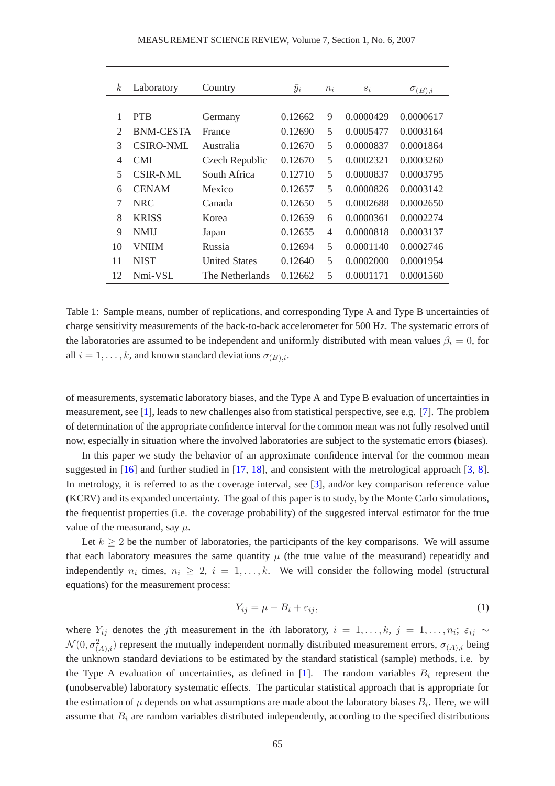| k <sub>i</sub>        | Laboratory       | Country              | $\bar{y}_i$ | $n_i$ | $s_i$     | $\sigma_{(B),i}$ |
|-----------------------|------------------|----------------------|-------------|-------|-----------|------------------|
|                       |                  |                      |             |       |           |                  |
| 1                     | <b>PTB</b>       | Germany              | 0.12662     | 9     | 0.0000429 | 0.0000617        |
| $\mathcal{D}_{\cdot}$ | <b>BNM-CESTA</b> | France               | 0.12690     | 5     | 0.0005477 | 0.0003164        |
| 3                     | <b>CSIRO-NML</b> | Australia            | 0.12670     | 5     | 0.0000837 | 0.0001864        |
| 4                     | <b>CMI</b>       | Czech Republic       | 0.12670     | 5     | 0.0002321 | 0.0003260        |
| 5                     | CSIR-NML         | South Africa         | 0.12710     | 5     | 0.0000837 | 0.0003795        |
| 6                     | <b>CENAM</b>     | Mexico               | 0.12657     | 5     | 0.0000826 | 0.0003142        |
| 7                     | NRC.             | Canada               | 0.12650     | 5     | 0.0002688 | 0.0002650        |
| 8                     | <b>KRISS</b>     | Korea                | 0.12659     | 6     | 0.0000361 | 0.0002274        |
| 9                     | <b>NMIJ</b>      | Japan                | 0.12655     | 4     | 0.0000818 | 0.0003137        |
| 10                    | <b>VNIIM</b>     | Russia               | 0.12694     | 5     | 0.0001140 | 0.0002746        |
| 11                    | <b>NIST</b>      | <b>United States</b> | 0.12640     | 5     | 0.0002000 | 0.0001954        |
| 12                    | Nmi-VSL          | The Netherlands      | 0.12662     | 5     | 0.0001171 | 0.0001560        |
|                       |                  |                      |             |       |           |                  |

<span id="page-1-0"></span>Table 1: Sample means, number of replications, and corresponding Type A and Type B uncertainties of charge sensitivity measurements of the back-to-back accelerometer for 500 Hz. The systematic errors of the laboratories are assumed to be independent and uniformly distributed with mean values  $\beta_i = 0$ , for all  $i = 1, \ldots, k$ , and known standard deviations  $\sigma_{(B),i}$ .

of measurements, systematic laboratory biases, and the Type A and Type B evaluation of uncertainties in measurement, see [\[1\]](#page-8-0), leads to new challenges also from statistical perspective, see e.g. [\[7\]](#page-9-5). The problem of determination of the appropriate confidence interval for the common mean was not fully resolved until now, especially in situation where the involved laboratories are subject to the systematic errors (biases).

In this paper we study the behavior of an approximate confidence interval for the common mean suggested in [\[16\]](#page-9-6) and further studied in [\[17,](#page-9-7) [18\]](#page-9-8), and consistent with the metrological approach [\[3,](#page-9-0) [8\]](#page-9-9). In metrology, it is referred to as the coverage interval, see [\[3\]](#page-9-0), and/or key comparison reference value (KCRV) and its expanded uncertainty. The goal of this paper is to study, by the Monte Carlo simulations, the frequentist properties (i.e. the coverage probability) of the suggested interval estimator for the true value of the measurand, say  $\mu$ .

Let  $k \geq 2$  be the number of laboratories, the participants of the key comparisons. We will assume that each laboratory measures the same quantity  $\mu$  (the true value of the measurand) repeatidly and independently  $n_i$  times,  $n_i \geq 2$ ,  $i = 1, ..., k$ . We will consider the following model (structural equations) for the measurement process:

<span id="page-1-1"></span>
$$
Y_{ij} = \mu + B_i + \varepsilon_{ij},\tag{1}
$$

where  $Y_{ij}$  denotes the jth measurement in the *i*th laboratory,  $i = 1, \ldots, k$ ,  $j = 1, \ldots, n_i$ ;  $\varepsilon_{ij} \sim$  $\mathcal{N}(0, \sigma^2_{(A),i})$  represent the mutually independent normally distributed measurement errors,  $\sigma_{(A),i}$  being the unknown standard deviations to be estimated by the standard statistical (sample) methods, i.e. by the Type A evaluation of uncertainties, as defined in [\[1\]](#page-8-0). The random variables  $B_i$  represent the (unobservable) laboratory systematic effects. The particular statistical approach that is appropriate for the estimation of  $\mu$  depends on what assumptions are made about the laboratory biases  $B_i$ . Here, we will assume that  $B_i$  are random variables distributed independently, according to the specified distributions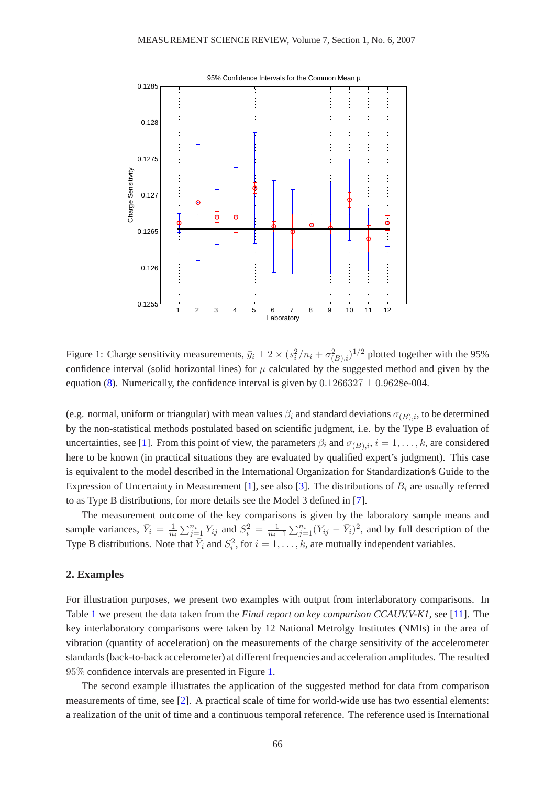

<span id="page-2-0"></span>Figure 1: Charge sensitivity measurements,  $\bar{y}_i \pm 2 \times (s_i^2/n_i + \sigma_{(B),i}^2)^{1/2}$  plotted together with the 95% confidence interval (solid horizontal lines) for  $\mu$  calculated by the suggested method and given by the equation [\(8\)](#page-5-0). Numerically, the confidence interval is given by  $0.1266327 \pm 0.9628e-004$ .

(e.g. normal, uniform or triangular) with mean values  $\beta_i$  and standard deviations  $\sigma_{(B),i}$ , to be determined by the non-statistical methods postulated based on scientific judgment, i.e. by the Type B evaluation of uncertainties, see [\[1\]](#page-8-0). From this point of view, the parameters  $\beta_i$  and  $\sigma_{(B),i}$ ,  $i = 1, \ldots, k$ , are considered here to be known (in practical situations they are evaluated by qualified expert's judgment). This case is equivalent to the model described in the International Organization for Standardization⁄s Guide to the Expression of Uncertainty in Measurement [\[1\]](#page-8-0), see also [\[3\]](#page-9-0). The distributions of  $B_i$  are usually referred to as Type B distributions, for more details see the Model 3 defined in [\[7\]](#page-9-5).

The measurement outcome of the key comparisons is given by the laboratory sample means and sample variances,  $\bar{Y}_i = \frac{1}{n_i}$  $\frac{1}{n_i} \sum_{j=1}^{n_i} Y_{ij}$  and  $S_i^2 = \frac{1}{n_i-1} \sum_{j=1}^{n_i} (Y_{ij} - \bar{Y}_i)^2$ , and by full description of the Type B distributions. Note that  $\overline{Y}_i$  and  $S_i^2$ , for  $i = 1, ..., k$ , are mutually independent variables.

#### **2. Examples**

For illustration purposes, we present two examples with output from interlaboratory comparisons. In Table [1](#page-1-0) we present the data taken from the *Final report on key comparison CCAUV.V-K1*, see [\[11\]](#page-9-10). The key interlaboratory comparisons were taken by 12 National Metrolgy Institutes (NMIs) in the area of vibration (quantity of acceleration) on the measurements of the charge sensitivity of the accelerometer standards (back-to-back accelerometer) at different frequencies and acceleration amplitudes. The resulted 95% confidence intervals are presented in Figure [1.](#page-2-0)

The second example illustrates the application of the suggested method for data from comparison measurements of time, see [\[2\]](#page-9-11). A practical scale of time for world-wide use has two essential elements: a realization of the unit of time and a continuous temporal reference. The reference used is International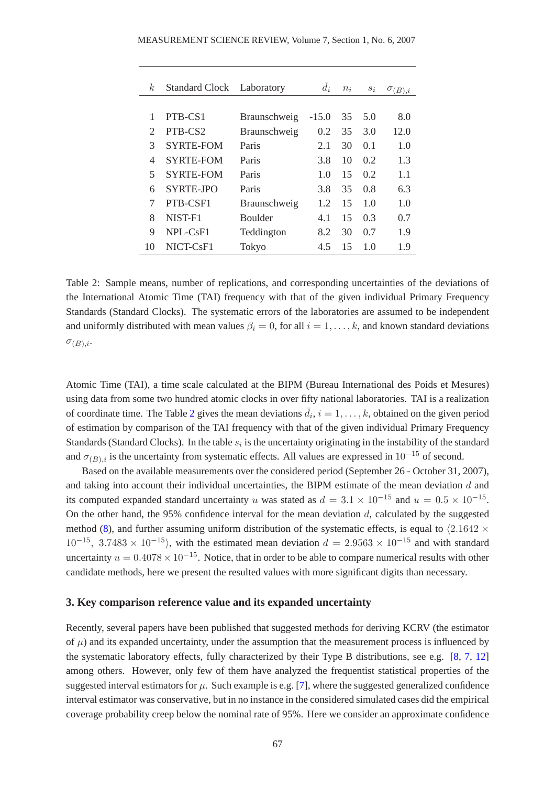| k,                          | <b>Standard Clock</b> | Laboratory     | $\bar{d}_i$ | $n_i$ | $S_i$ | $\sigma_{(B),i}$ |
|-----------------------------|-----------------------|----------------|-------------|-------|-------|------------------|
|                             |                       |                |             |       |       |                  |
| 1                           | PTB-CS1               | Braunschweig   | $-15.0$     | 35    | 5.0   | 8.0              |
| $\mathcal{D}_{\mathcal{A}}$ | PTB-CS <sub>2</sub>   | Braunschweig   | 0.2         | 35    | 3.0   | 12.0             |
| 3                           | <b>SYRTE-FOM</b>      | Paris          | 2.1         | 30    | 0.1   | 1.0              |
| 4                           | <b>SYRTE-FOM</b>      | Paris          | 3.8         | 10    | 0.2   | 1.3              |
| 5                           | <b>SYRTE-FOM</b>      | Paris          | 1.0         | 15    | 0.2   | 1.1              |
| 6                           | SYRTE-JPO             | Paris          | 3.8         | 35    | 0.8   | 6.3              |
| 7                           | PTB-CSF1              | Braunschweig   | 1.2         | 15    | 1.0   | 1.0              |
| 8                           | NIST-F1               | <b>Boulder</b> | 4.1         | 15    | 0.3   | 0.7              |
| $\mathbf Q$                 | $NPI - CsF1$          | Teddington     | 8.2         | 30    | 0.7   | 1.9              |
| 10                          | NICT-CsF1             | Tokyo          | 4.5         | 15    | 1.0   | 1.9              |

<span id="page-3-0"></span>Table 2: Sample means, number of replications, and corresponding uncertainties of the deviations of the International Atomic Time (TAI) frequency with that of the given individual Primary Frequency Standards (Standard Clocks). The systematic errors of the laboratories are assumed to be independent and uniformly distributed with mean values  $\beta_i = 0$ , for all  $i = 1, \ldots, k$ , and known standard deviations  $\sigma_{(B),i}$ .

Atomic Time (TAI), a time scale calculated at the BIPM (Bureau International des Poids et Mesures) using data from some two hundred atomic clocks in over fifty national laboratories. TAI is a realization of coordinate time. The Table [2](#page-3-0) gives the mean deviations  $\bar{d}_i$ ,  $i = 1, \ldots, k$ , obtained on the given period of estimation by comparison of the TAI frequency with that of the given individual Primary Frequency Standards (Standard Clocks). In the table  $s_i$  is the uncertainty originating in the instability of the standard and  $\sigma_{(B),i}$  is the uncertainty from systematic effects. All values are expressed in 10<sup>-15</sup> of second.

Based on the available measurements over the considered period (September 26 - October 31, 2007), and taking into account their individual uncertainties, the BIPM estimate of the mean deviation d and its computed expanded standard uncertainty u was stated as  $d = 3.1 \times 10^{-15}$  and  $u = 0.5 \times 10^{-15}$ . On the other hand, the 95% confidence interval for the mean deviation  $d$ , calculated by the suggested method [\(8\)](#page-5-0), and further assuming uniform distribution of the systematic effects, is equal to  $\langle 2.1642 \times$  $10^{-15}$ , 3.7483 ×  $10^{-15}$ ), with the estimated mean deviation  $d = 2.9563 \times 10^{-15}$  and with standard uncertainty  $u = 0.4078 \times 10^{-15}$ . Notice, that in order to be able to compare numerical results with other candidate methods, here we present the resulted values with more significant digits than necessary.

### **3. Key comparison reference value and its expanded uncertainty**

Recently, several papers have been published that suggested methods for deriving KCRV (the estimator of  $\mu$ ) and its expanded uncertainty, under the assumption that the measurement process is influenced by the systematic laboratory effects, fully characterized by their Type B distributions, see e.g. [\[8,](#page-9-9) [7,](#page-9-5) [12\]](#page-9-12) among others. However, only few of them have analyzed the frequentist statistical properties of the suggested interval estimators for  $\mu$ . Such example is e.g. [\[7\]](#page-9-5), where the suggested generalized confidence interval estimator was conservative, but in no instance in the considered simulated cases did the empirical coverage probability creep below the nominal rate of 95%. Here we consider an approximate confidence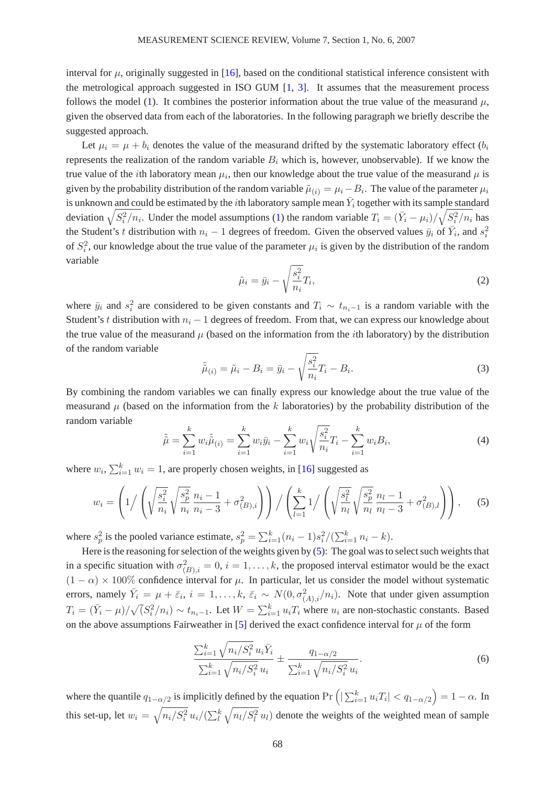interval for  $\mu$ , originally suggested in [\[16\]](#page-9-6), based on the conditional statistical inference consistent with the metrological approach suggested in ISO GUM  $[1, 3]$  $[1, 3]$ . It assumes that the measurement process follows the model [\(1\)](#page-1-1). It combines the posterior information about the true value of the measurand  $\mu$ , given the observed data from each of the laboratories. In the following paragraph we briefly describe the suggested approach.

Let  $\mu_i = \mu + b_i$  denotes the value of the measurand drifted by the systematic laboratory effect  $(b_i)$ represents the realization of the random variable  $B_i$  which is, however, unobservable). If we know the true value of the *i*th laboratory mean  $\mu_i$ , then our knowledge about the true value of the measurand  $\mu$  is given by the probability distribution of the random variable  $\tilde{\mu}_{(i)} = \mu_i - B_i$ . The value of the parameter  $\mu_i$ is unknown and could be estimated by the  $i$ th laboratory sample mean  $\bar{Y}_i$  together with its sample standard deviation  $\sqrt{S_i^2/n_i}$ . Under the model assumptions [\(1\)](#page-1-1) the random variable  $T_i = (\bar{Y}_i - \mu_i)/\sqrt{S_i^2/n_i}$  has the Student's t distribution with  $n_i - 1$  degrees of freedom. Given the observed values  $\bar{y}_i$  of  $\bar{Y}_i$ , and  $s_i^2$ of  $S_i^2$ , our knowledge about the true value of the parameter  $\mu_i$  is given by the distribution of the random variable

$$
\tilde{\mu}_i = \bar{y}_i - \sqrt{\frac{s_i^2}{n_i}} T_i,\tag{2}
$$

where  $\bar{y}_i$  and  $s_i^2$  are considered to be given constants and  $T_i \sim t_{n_i-1}$  is a random variable with the Student's t distribution with  $n_i - 1$  degrees of freedom. From that, we can express our knowledge about the true value of the measurand  $\mu$  (based on the information from the *i*th laboratory) by the distribution of the random variable

$$
\tilde{\tilde{\mu}}_{(i)} = \tilde{\mu}_i - B_i = \bar{y}_i - \sqrt{\frac{s_i^2}{n_i}} T_i - B_i.
$$
\n(3)

By combining the random variables we can finally express our knowledge about the true value of the measurand  $\mu$  (based on the information from the k laboratories) by the probability distribution of the random variable

$$
\tilde{\tilde{\mu}} = \sum_{i=1}^{k} w_i \tilde{\tilde{\mu}}_{(i)} = \sum_{i=1}^{k} w_i \bar{y}_i - \sum_{i=1}^{k} w_i \sqrt{\frac{s_i^2}{n_i}} T_i - \sum_{i=1}^{k} w_i B_i,
$$
\n(4)

<span id="page-4-0"></span>where  $w_i$ ,  $\sum_{i=1}^{k} w_i = 1$ , are properly chosen weights, in [\[16\]](#page-9-6) suggested as

$$
w_i = \left(1/\left(\sqrt{\frac{s_i^2}{n_i}}\sqrt{\frac{s_p^2}{n_i}}\frac{n_i-1}{n_i-3} + \sigma_{(B),i}^2\right)\right)/\left(\sum_{l=1}^k 1/\left(\sqrt{\frac{s_l^2}{n_l}}\sqrt{\frac{s_p^2}{n_l}}\frac{n_l-1}{n_l-3} + \sigma_{(B),l}^2\right)\right),\tag{5}
$$

where  $s_p^2$  is the pooled variance estimate,  $s_p^2 = \sum_{i=1}^k (n_i - 1)s_i^2/(\sum_{i=1}^k n_i - k)$ .

Here is the reasoning for selection of the weights given by [\(5\)](#page-4-0): The goal was to select such weights that in a specific situation with  $\sigma_{(B),i}^2 = 0$ ,  $i = 1, \ldots, k$ , the proposed interval estimator would be the exact  $(1 - \alpha) \times 100\%$  confidence interval for  $\mu$ . In particular, let us consider the model without systematic errors, namely  $\bar{Y}_i = \mu + \bar{\varepsilon}_i$ ,  $i = 1, \ldots, k$ ,  $\bar{\varepsilon}_i \sim N(0, \sigma_{(A),i}^2/n_i)$ . Note that under given assumption  $T_i = (\bar{Y}_i - \mu)/\sqrt{(S_i^2/n_i)} \sim t_{n_i-1}$ . Let  $W = \sum_{i=1}^k u_i T_i$  where  $u_i$  are non-stochastic constants. Based on the above assumptions Fairweather in [\[5\]](#page-9-4) derived the exact confidence interval for  $\mu$  of the form

<span id="page-4-1"></span>
$$
\frac{\sum_{i=1}^{k} \sqrt{n_i/S_i^2} u_i \bar{Y}_i}{\sum_{i=1}^{k} \sqrt{n_i/S_i^2} u_i} \pm \frac{q_{1-\alpha/2}}{\sum_{i=1}^{k} \sqrt{n_i/S_i^2} u_i}.
$$
\n(6)

where the quantile  $q_{1-\alpha/2}$  is implicitly defined by the equation  $\Pr\left(\left|\sum_{i=1}^k u_i T_i\right| < q_{1-\alpha/2}\right) = 1-\alpha$ . In this set-up, let  $w_i = \sqrt{n_i/S_i^2} u_i/(\sum_l^k \sqrt{n_l/S_l^2} u_l)$  denote the weights of the weighted mean of sample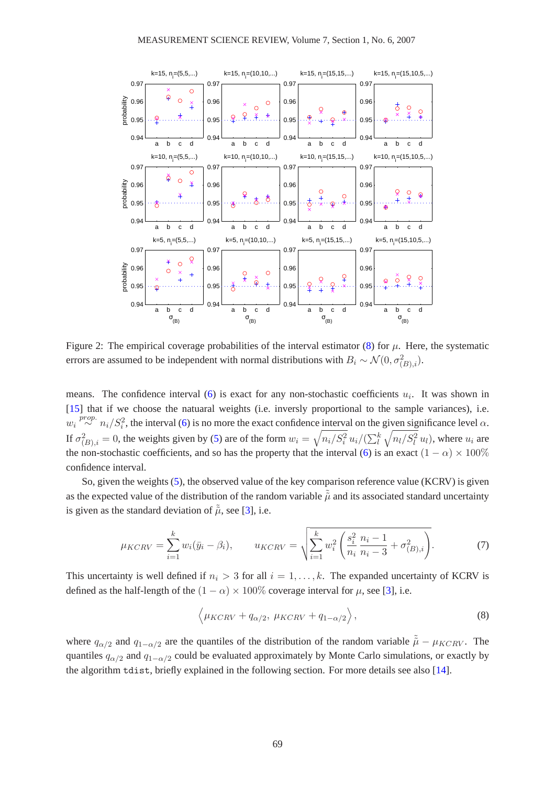

<span id="page-5-1"></span>Figure 2: The empirical coverage probabilities of the interval estimator [\(8\)](#page-5-0) for  $\mu$ . Here, the systematic errors are assumed to be independent with normal distributions with  $B_i \sim \mathcal{N}(0, \sigma_{(B),i}^2)$ .

means. The confidence interval [\(6\)](#page-4-1) is exact for any non-stochastic coefficients  $u_i$ . It was shown in [\[15\]](#page-9-13) that if we choose the natuaral weights (i.e. inversly proportional to the sample variances), i.e.  $w_i \stackrel{prop.}{\sim} n_i/S_i^2$ , the interval [\(6\)](#page-4-1) is no more the exact confidence interval on the given significance level  $\alpha$ . If  $\sigma_{(B),i}^2 = 0$ , the weights given by [\(5\)](#page-4-0) are of the form  $w_i = \sqrt{n_i/S_i^2} u_i/(\sum_{l}^{k} \sqrt{n_l/S_l^2} u_l)$ , where  $u_i$  are the non-stochastic coefficients, and so has the property that the interval [\(6\)](#page-4-1) is an exact  $(1 - \alpha) \times 100\%$ confidence interval.

So, given the weights [\(5\)](#page-4-0), the observed value of the key comparison reference value (KCRV) is given as the expected value of the distribution of the random variable  $\tilde{\mu}$  and its associated standard uncertainty is given as the standard deviation of  $\tilde{\tilde{\mu}}$ , see [\[3\]](#page-9-0), i.e.

<span id="page-5-0"></span>
$$
\mu_{KCRV} = \sum_{i=1}^{k} w_i (\bar{y}_i - \beta_i), \qquad u_{KCRV} = \sqrt{\sum_{i=1}^{k} w_i^2 \left( \frac{s_i^2}{n_i} \frac{n_i - 1}{n_i - 3} + \sigma_{(B), i}^2 \right)}. \tag{7}
$$

This uncertainty is well defined if  $n_i > 3$  for all  $i = 1, \ldots, k$ . The expanded uncertainty of KCRV is defined as the half-length of the  $(1 - \alpha) \times 100\%$  coverage interval for  $\mu$ , see [\[3\]](#page-9-0), i.e.

$$
\langle \mu_{KCRV} + q_{\alpha/2}, \, \mu_{KCRV} + q_{1-\alpha/2} \rangle, \tag{8}
$$

where  $q_{\alpha/2}$  and  $q_{1-\alpha/2}$  are the quantiles of the distribution of the random variable  $\tilde{\tilde{\mu}} - \mu_{KCRV}$ . The quantiles  $q_{\alpha/2}$  and  $q_{1-\alpha/2}$  could be evaluated approximately by Monte Carlo simulations, or exactly by the algorithm tdist, briefly explained in the following section. For more details see also [\[14\]](#page-9-14).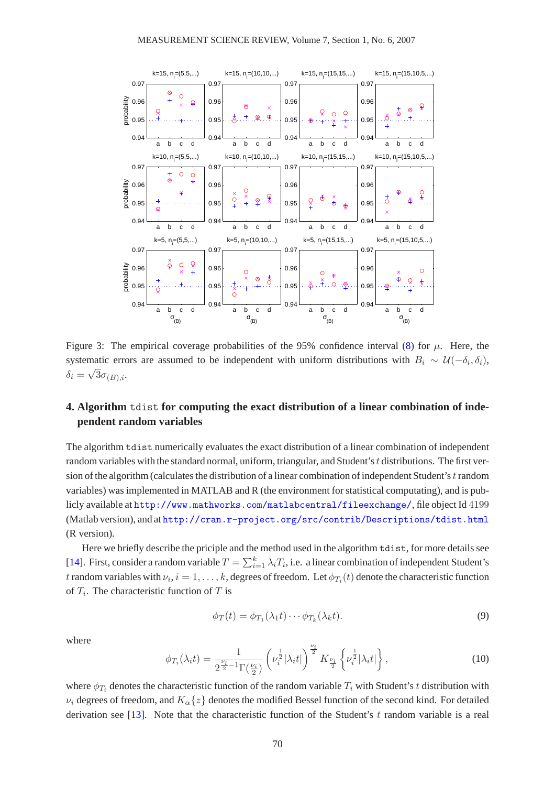

<span id="page-6-0"></span>Figure 3: The empirical coverage probabilities of the 95% confidence interval [\(8\)](#page-5-0) for  $\mu$ . Here, the systematic errors are assumed to be independent with uniform distributions with  $B_i \sim \mathcal{U}(-\delta_i, \delta_i)$ ,  $\delta_i = \sqrt{3}\sigma_{(B),i}.$ 

## **4. Algorithm** tdist **for computing the exact distribution of a linear combination of independent random variables**

The algorithm tdist numerically evaluates the exact distribution of a linear combination of independent random variables with the standard normal, uniform, triangular, and Student's  $t$  distributions. The first version of the algorithm (calculates the distribution of a linear combination of independent Student's t random variables) was implemented in MATLAB and R (the environment for statistical computating), and is publicly available at <http://www.mathworks.com/matlabcentral/fileexchange/>, file object Id 4199 (Matlab version), and at <http://cran.r-project.org/src/contrib/Descriptions/tdist.html> (R version).

Here we briefly describe the priciple and the method used in the algorithm tdist, for more details see [\[14\]](#page-9-14). First, consider a random variable  $T = \sum_{i=1}^{k} \lambda_i T_i$ , i.e. a linear combination of independent Student's t random variables with  $\nu_i, i=1,\ldots,k,$  degrees of freedom. Let  $\phi_{T_i}(t)$  denote the characteristic function of  $T_i$ . The characteristic function of T is

$$
\phi_T(t) = \phi_{T_1}(\lambda_1 t) \cdots \phi_{T_k}(\lambda_k t). \tag{9}
$$

where

$$
\phi_{T_i}(\lambda_i t) = \frac{1}{2^{\frac{\nu_i}{2} - 1} \Gamma(\frac{\nu_i}{2})} \left( \nu_i^{\frac{1}{2}} |\lambda_i t| \right)^{\frac{\nu_i}{2}} K_{\frac{\nu_i}{2}} \left\{ \nu_i^{\frac{1}{2}} |\lambda_i t| \right\},\tag{10}
$$

where  $\phi_{T_i}$  denotes the characteristic function of the random variable  $T_i$  with Student's t distribution with  $\nu_i$  degrees of freedom, and  $K_\alpha\{z\}$  denotes the modified Bessel function of the second kind. For detailed derivation see [\[13\]](#page-9-15). Note that the characteristic function of the Student's  $t$  random variable is a real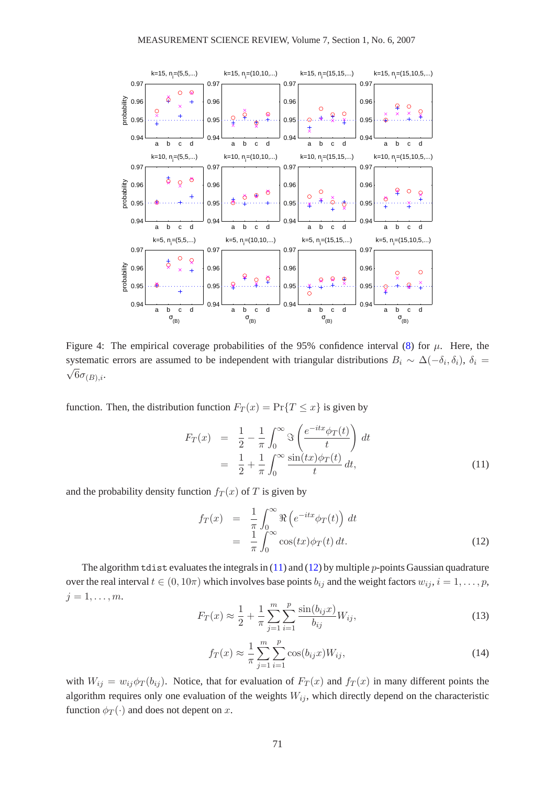

<span id="page-7-2"></span>Figure 4: The empirical coverage probabilities of the 95% confidence interval [\(8\)](#page-5-0) for  $\mu$ . Here, the systematic errors are assumed to be independent with triangular distributions  $B_i \sim \Delta(-\delta_i, \delta_i)$ ,  $\delta_i = \sqrt{6\pi}$ .  $\sqrt{6\sigma_{(B),i}}$ .

<span id="page-7-0"></span>function. Then, the distribution function  $F_T(x) = \Pr{T \le x}$  is given by

$$
F_T(x) = \frac{1}{2} - \frac{1}{\pi} \int_0^\infty \Im\left(\frac{e^{-itx} \phi_T(t)}{t}\right) dt
$$
  

$$
= \frac{1}{2} + \frac{1}{\pi} \int_0^\infty \frac{\sin(tx)\phi_T(t)}{t} dt,
$$
 (11)

and the probability density function  $f_T(x)$  of T is given by

<span id="page-7-1"></span>
$$
f_T(x) = \frac{1}{\pi} \int_0^\infty \Re\left(e^{-itx} \phi_T(t)\right) dt
$$
  
=  $\frac{1}{\pi} \int_0^\infty \cos(tx) \phi_T(t) dt.$  (12)

The algorithm tdist evaluates the integrals in  $(11)$  and  $(12)$  by multiple p-points Gaussian quadrature over the real interval  $t \in (0, 10\pi)$  which involves base points  $b_{ij}$  and the weight factors  $w_{ij}$ ,  $i = 1, \ldots, p$ ,  $j=1,\ldots,m$ .

$$
F_T(x) \approx \frac{1}{2} + \frac{1}{\pi} \sum_{j=1}^m \sum_{i=1}^p \frac{\sin(b_{ij}x)}{b_{ij}} W_{ij},
$$
\n(13)

$$
f_T(x) \approx \frac{1}{\pi} \sum_{j=1}^{m} \sum_{i=1}^{p} \cos(b_{ij} x) W_{ij},
$$
 (14)

with  $W_{ij} = w_{ij} \phi_T(b_{ij})$ . Notice, that for evaluation of  $F_T(x)$  and  $f_T(x)$  in many different points the algorithm requires only one evaluation of the weights  $W_{ij}$ , which directly depend on the characteristic function  $\phi_T(\cdot)$  and does not depent on x.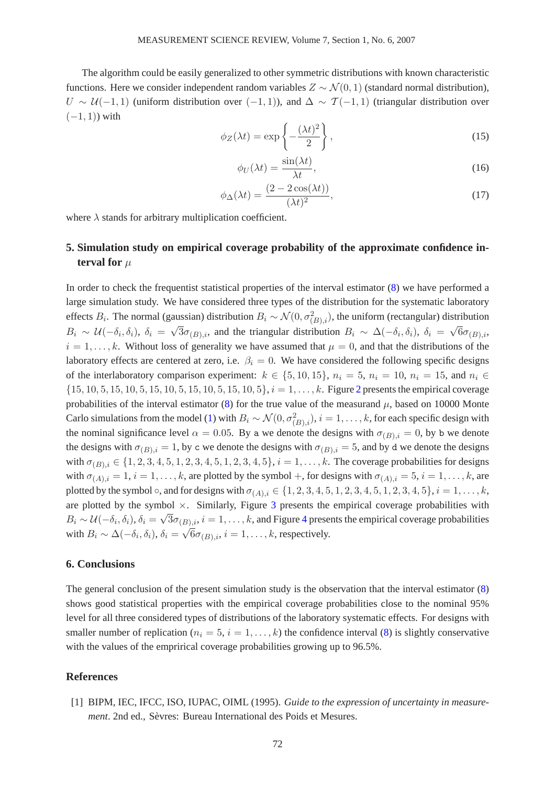The algorithm could be easily generalized to other symmetric distributions with known characteristic functions. Here we consider independent random variables  $Z \sim \mathcal{N}(0, 1)$  (standard normal distribution),  $U \sim \mathcal{U}(-1, 1)$  (uniform distribution over  $(-1, 1)$ ), and  $\Delta \sim \mathcal{T}(-1, 1)$  (triangular distribution over  $(-1, 1)$ ) with

$$
\phi_Z(\lambda t) = \exp\left\{-\frac{(\lambda t)^2}{2}\right\},\tag{15}
$$

$$
\phi_U(\lambda t) = \frac{\sin(\lambda t)}{\lambda t},\tag{16}
$$

$$
\phi_{\Delta}(\lambda t) = \frac{(2 - 2\cos(\lambda t))}{(\lambda t)^2},\tag{17}
$$

where  $\lambda$  stands for arbitrary multiplication coefficient.

# **5. Simulation study on empirical coverage probability of the approximate confidence interval for**  $\mu$

In order to check the frequentist statistical properties of the interval estimator [\(8\)](#page-5-0) we have performed a large simulation study. We have considered three types of the distribution for the systematic laboratory effects  $B_i$ . The normal (gaussian) distribution  $B_i \sim \mathcal{N}(0, \sigma_{(B),i}^2)$ , the uniform (rectangular) distribution  $B_i \sim \mathcal{U}(-\delta_i, \delta_i)$ ,  $\delta_i = \sqrt{3}\sigma_{(B),i}$ , and the triangular distribution  $B_i \sim \Delta(-\delta_i, \delta_i)$ ,  $\delta_i = \sqrt{6}\sigma_{(B),i}$ ,  $i = 1, \ldots, k$ . Without loss of generality we have assumed that  $\mu = 0$ , and that the distributions of the laboratory effects are centered at zero, i.e.  $\beta_i = 0$ . We have considered the following specific designs of the interlaboratory comparison experiment:  $k \in \{5, 10, 15\}$ ,  $n_i = 5$ ,  $n_i = 10$ ,  $n_i = 15$ , and  $n_i \in$  $\{15, 10, 5, 15, 10, 5, 15, 10, 5, 15, 10, 5, 15, 10, 5\}$ ,  $i = 1, \ldots, k$ . Figure [2](#page-5-1) presents the empirical coverage probabilities of the interval estimator [\(8\)](#page-5-0) for the true value of the measurand  $\mu$ , based on 10000 Monte Carlo simulations from the model [\(1\)](#page-1-1) with  $B_i \sim \mathcal{N}(0, \sigma_{(B),i}^2)$ ,  $i = 1, \ldots, k$ , for each specific design with the nominal significance level  $\alpha = 0.05$ . By a we denote the designs with  $\sigma_{(B),i} = 0$ , by b we denote the designs with  $\sigma_{(B),i} = 1$ , by c we denote the designs with  $\sigma_{(B),i} = 5$ , and by d we denote the designs with  $\sigma_{(B),i} \in \{1,2,3,4,5,1,2,3,4,5,1,2,3,4,5\}, i = 1,\ldots,k$ . The coverage probabilities for designs with  $\sigma_{(A),i} = 1, i = 1, \ldots, k$ , are plotted by the symbol +, for designs with  $\sigma_{(A),i} = 5, i = 1, \ldots, k$ , are plotted by the symbol  $\circ$ , and for designs with  $\sigma_{(A),i} \in \{1, 2, 3, 4, 5, 1, 2, 3, 4, 5, 1, 2, 3, 4, 5\}, i = 1, ..., k$ , are plotted by the symbol  $\times$ . Similarly, Figure [3](#page-6-0) presents the empirical coverage probabilities with  $B_i \sim \mathcal{U}(-\delta_i, \delta_i), \delta_i = \sqrt{3}\sigma_{(B),i}, i = 1,\ldots,k$ , and Figure [4](#page-7-2) presents the empirical coverage probabilities with  $B_i \sim \Delta(-\delta_i, \delta_i)$ ,  $\delta_i = \sqrt{6}\sigma_{(B),i}$ ,  $i = 1, ..., k$ , respectively.

#### **6. Conclusions**

The general conclusion of the present simulation study is the observation that the interval estimator [\(8\)](#page-5-0) shows good statistical properties with the empirical coverage probabilities close to the nominal 95% level for all three considered types of distributions of the laboratory systematic effects. For designs with smaller number of replication ( $n_i = 5$ ,  $i = 1, \ldots, k$ ) the confidence interval [\(8\)](#page-5-0) is slightly conservative with the values of the emprirical coverage probabilities growing up to 96.5%.

### <span id="page-8-0"></span>**References**

[1] BIPM, IEC, IFCC, ISO, IUPAC, OIML (1995). *Guide to the expression of uncertainty in measurement*. 2nd ed., Sèvres: Bureau International des Poids et Mesures.